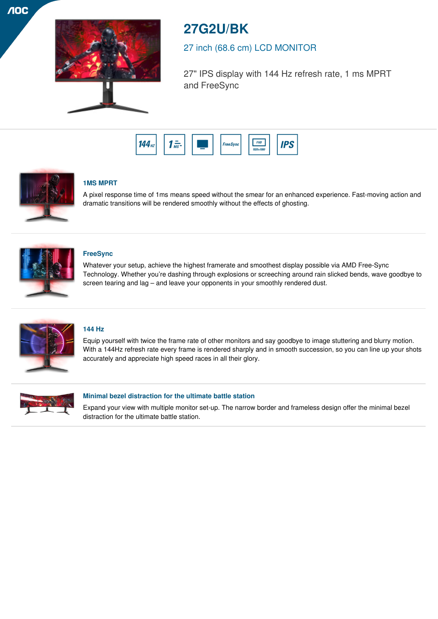**NOC** 



# **27G2U/BK**

# 27 inch (68.6 cm) LCD MONITOR

27" IPS display with 144 Hz refresh rate, 1 ms MPRT and FreeSync





# **1MS MPRT**

A pixel response time of 1ms means speed without the smear for an enhanced experience. Fast-moving action and dramatic transitions will be rendered smoothly without the effects of ghosting.



# **FreeSync**

Whatever your setup, achieve the highest framerate and smoothest display possible via AMD Free-Sync Technology. Whether you're dashing through explosions or screeching around rain slicked bends, wave goodbye to screen tearing and lag – and leave your opponents in your smoothly rendered dust.



# **144 Hz**

Equip yourself with twice the frame rate of other monitors and say goodbye to image stuttering and blurry motion. With a 144Hz refresh rate every frame is rendered sharply and in smooth succession, so you can line up your shots accurately and appreciate high speed races in all their glory.



## **Minimal bezel distraction for the ultimate battle station**

Expand your view with multiple monitor set-up. The narrow border and frameless design offer the minimal bezel distraction for the ultimate battle station.